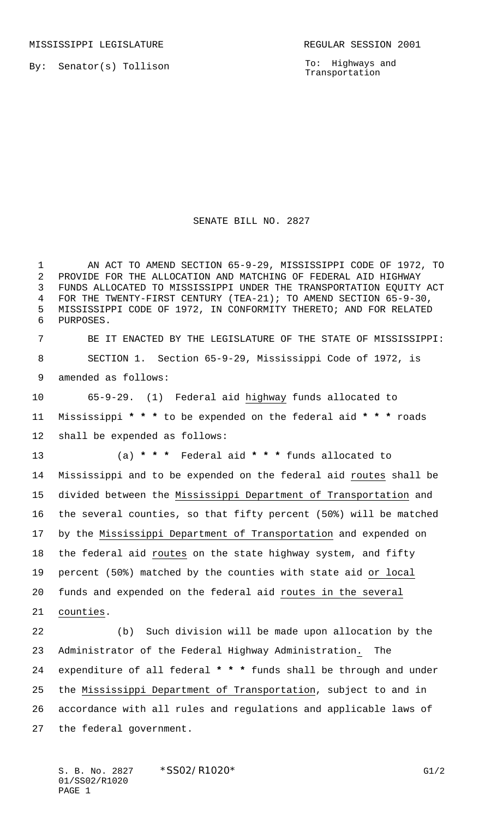MISSISSIPPI LEGISLATURE **REGULAR SESSION 2001** 

By: Senator(s) Tollison

To: Highways and Transportation

## SENATE BILL NO. 2827

 AN ACT TO AMEND SECTION 65-9-29, MISSISSIPPI CODE OF 1972, TO PROVIDE FOR THE ALLOCATION AND MATCHING OF FEDERAL AID HIGHWAY FUNDS ALLOCATED TO MISSISSIPPI UNDER THE TRANSPORTATION EQUITY ACT FOR THE TWENTY-FIRST CENTURY (TEA-21); TO AMEND SECTION 65-9-30, MISSISSIPPI CODE OF 1972, IN CONFORMITY THERETO; AND FOR RELATED PURPOSES.

 BE IT ENACTED BY THE LEGISLATURE OF THE STATE OF MISSISSIPPI: SECTION 1. Section 65-9-29, Mississippi Code of 1972, is amended as follows:

 65-9-29. (1) Federal aid highway funds allocated to Mississippi **\* \* \*** to be expended on the federal aid **\* \* \*** roads shall be expended as follows:

 (a) **\* \* \*** Federal aid **\* \* \*** funds allocated to Mississippi and to be expended on the federal aid routes shall be divided between the Mississippi Department of Transportation and the several counties, so that fifty percent (50%) will be matched by the Mississippi Department of Transportation and expended on the federal aid routes on the state highway system, and fifty percent (50%) matched by the counties with state aid or local funds and expended on the federal aid routes in the several counties.

 (b) Such division will be made upon allocation by the Administrator of the Federal Highway Administration. The expenditure of all federal **\* \* \*** funds shall be through and under the Mississippi Department of Transportation, subject to and in accordance with all rules and regulations and applicable laws of the federal government.

S. B. No. 2827 \* SS02/R1020\* G1/2 01/SS02/R1020 PAGE 1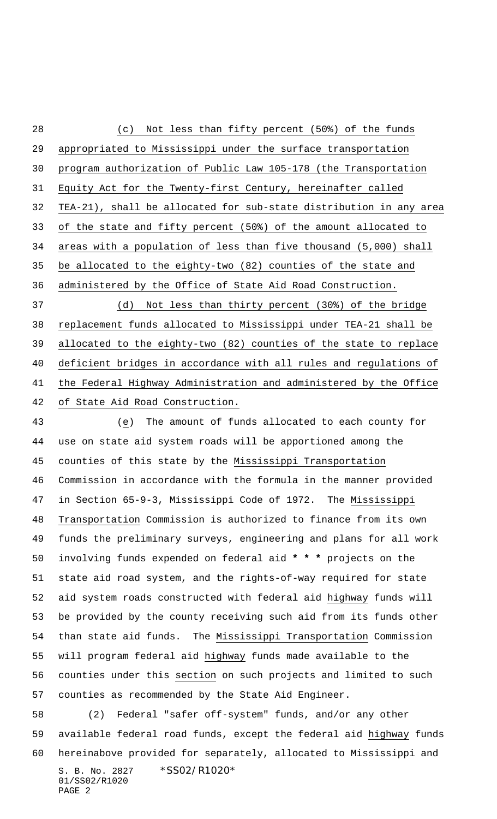S. B. No. 2827 \* SS02/R1020\* (c) Not less than fifty percent (50%) of the funds appropriated to Mississippi under the surface transportation program authorization of Public Law 105-178 (the Transportation Equity Act for the Twenty-first Century, hereinafter called TEA-21), shall be allocated for sub-state distribution in any area of the state and fifty percent (50%) of the amount allocated to areas with a population of less than five thousand (5,000) shall be allocated to the eighty-two (82) counties of the state and administered by the Office of State Aid Road Construction. (d) Not less than thirty percent (30%) of the bridge replacement funds allocated to Mississippi under TEA-21 shall be allocated to the eighty-two (82) counties of the state to replace deficient bridges in accordance with all rules and regulations of the Federal Highway Administration and administered by the Office of State Aid Road Construction. (e) The amount of funds allocated to each county for use on state aid system roads will be apportioned among the counties of this state by the Mississippi Transportation Commission in accordance with the formula in the manner provided in Section 65-9-3, Mississippi Code of 1972. The Mississippi Transportation Commission is authorized to finance from its own funds the preliminary surveys, engineering and plans for all work involving funds expended on federal aid **\* \* \*** projects on the state aid road system, and the rights-of-way required for state 52 aid system roads constructed with federal aid highway funds will be provided by the county receiving such aid from its funds other than state aid funds. The Mississippi Transportation Commission will program federal aid highway funds made available to the counties under this section on such projects and limited to such counties as recommended by the State Aid Engineer. (2) Federal "safer off-system" funds, and/or any other available federal road funds, except the federal aid highway funds hereinabove provided for separately, allocated to Mississippi and

01/SS02/R1020 PAGE 2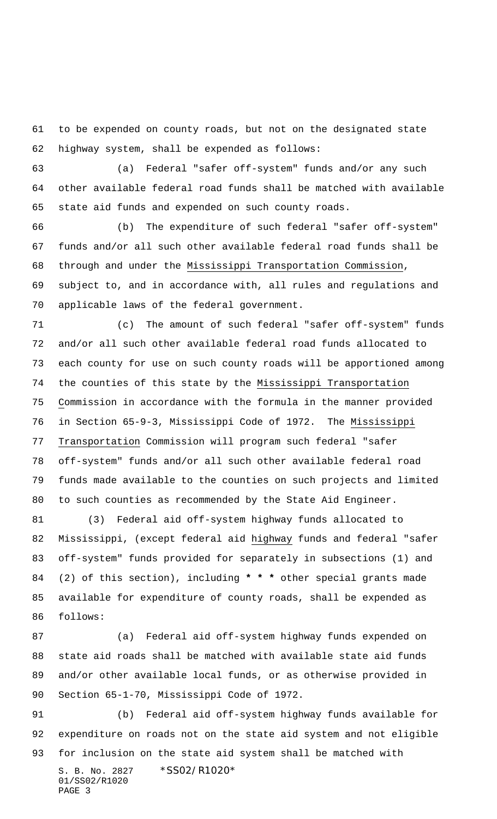to be expended on county roads, but not on the designated state highway system, shall be expended as follows:

 (a) Federal "safer off-system" funds and/or any such other available federal road funds shall be matched with available state aid funds and expended on such county roads.

 (b) The expenditure of such federal "safer off-system" funds and/or all such other available federal road funds shall be through and under the Mississippi Transportation Commission, subject to, and in accordance with, all rules and regulations and applicable laws of the federal government.

 (c) The amount of such federal "safer off-system" funds and/or all such other available federal road funds allocated to each county for use on such county roads will be apportioned among the counties of this state by the Mississippi Transportation Commission in accordance with the formula in the manner provided in Section 65-9-3, Mississippi Code of 1972. The Mississippi Transportation Commission will program such federal "safer off-system" funds and/or all such other available federal road funds made available to the counties on such projects and limited to such counties as recommended by the State Aid Engineer.

 (3) Federal aid off-system highway funds allocated to Mississippi, (except federal aid highway funds and federal "safer off-system" funds provided for separately in subsections (1) and (2) of this section), including **\* \* \*** other special grants made available for expenditure of county roads, shall be expended as follows:

 (a) Federal aid off-system highway funds expended on state aid roads shall be matched with available state aid funds and/or other available local funds, or as otherwise provided in Section 65-1-70, Mississippi Code of 1972.

S. B. No. 2827 \* SS02/R1020\* 01/SS02/R1020 PAGE 3 (b) Federal aid off-system highway funds available for expenditure on roads not on the state aid system and not eligible for inclusion on the state aid system shall be matched with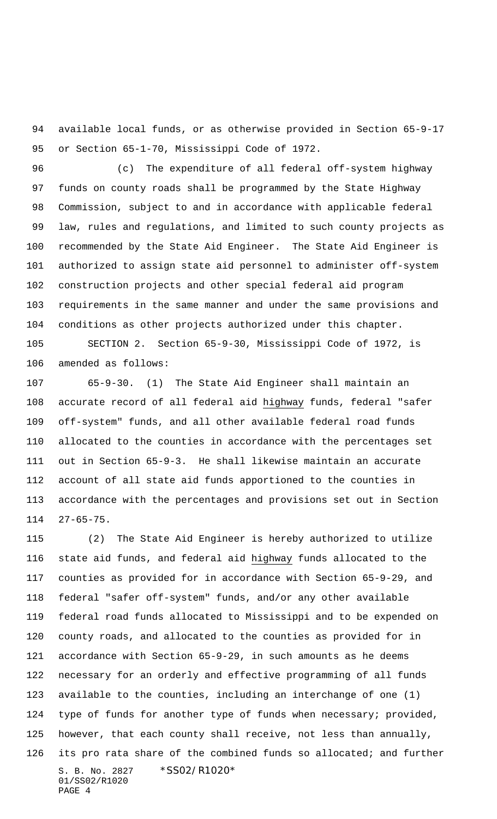available local funds, or as otherwise provided in Section 65-9-17 or Section 65-1-70, Mississippi Code of 1972.

 (c) The expenditure of all federal off-system highway funds on county roads shall be programmed by the State Highway Commission, subject to and in accordance with applicable federal law, rules and regulations, and limited to such county projects as recommended by the State Aid Engineer. The State Aid Engineer is authorized to assign state aid personnel to administer off-system construction projects and other special federal aid program requirements in the same manner and under the same provisions and conditions as other projects authorized under this chapter.

 SECTION 2. Section 65-9-30, Mississippi Code of 1972, is amended as follows:

 65-9-30. (1) The State Aid Engineer shall maintain an accurate record of all federal aid highway funds, federal "safer off-system" funds, and all other available federal road funds allocated to the counties in accordance with the percentages set out in Section 65-9-3. He shall likewise maintain an accurate account of all state aid funds apportioned to the counties in accordance with the percentages and provisions set out in Section 27-65-75.

S. B. No. 2827 \* SS02/R1020\* 01/SS02/R1020 PAGE 4 (2) The State Aid Engineer is hereby authorized to utilize state aid funds, and federal aid highway funds allocated to the counties as provided for in accordance with Section 65-9-29, and federal "safer off-system" funds, and/or any other available federal road funds allocated to Mississippi and to be expended on county roads, and allocated to the counties as provided for in accordance with Section 65-9-29, in such amounts as he deems necessary for an orderly and effective programming of all funds available to the counties, including an interchange of one (1) 124 type of funds for another type of funds when necessary; provided, however, that each county shall receive, not less than annually, 126 its pro rata share of the combined funds so allocated; and further